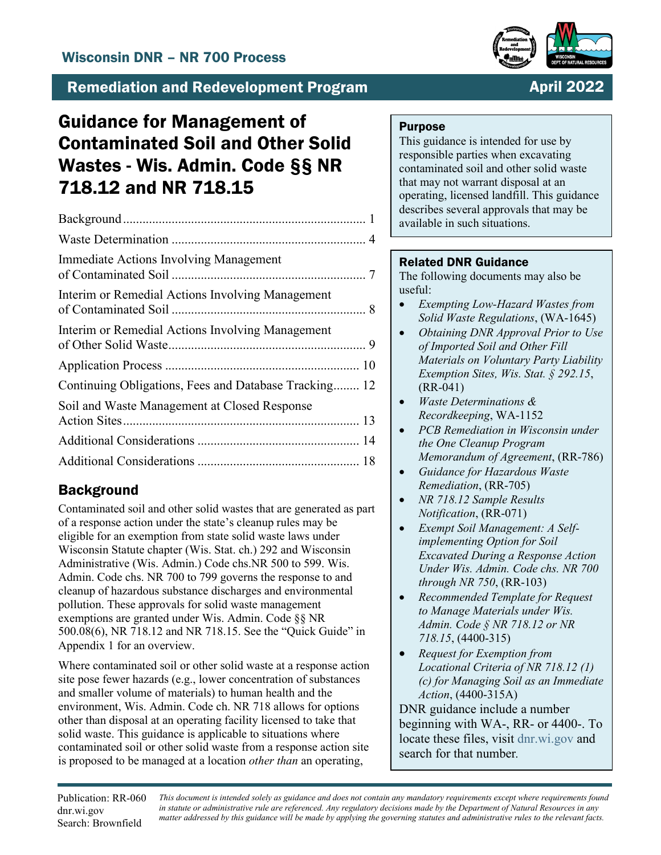

## **Remediation and Redevelopment Program**

## **April 2022**

# Guidance for Management of Contaminated Soil and Other Solid Wastes - Wis. Admin. Code §§ NR 718.12 and NR 718.15

| <b>Immediate Actions Involving Management</b>         |  |
|-------------------------------------------------------|--|
| Interim or Remedial Actions Involving Management      |  |
| Interim or Remedial Actions Involving Management      |  |
|                                                       |  |
| Continuing Obligations, Fees and Database Tracking 12 |  |
| Soil and Waste Management at Closed Response          |  |
|                                                       |  |
|                                                       |  |

## **Background**

Contaminated soil and other solid wastes that are generated as part of a response action under the state's cleanup rules may be eligible for an exemption from state solid waste laws under Wisconsin Statute chapter (Wis. Stat. ch.) 292 and Wisconsin Administrative (Wis. Admin.) Code chs.NR 500 to 599. Wis. Admin. Code chs. NR 700 to 799 governs the response to and cleanup of hazardous substance discharges and environmental pollution. These approvals for solid waste management exemptions are granted under Wis. Admin. Code §§ NR 500.08(6), NR 718.12 and NR 718.15. See the "Quick Guide" in Appendix 1 for an overview.

Where contaminated soil or other solid waste at a response action site pose fewer hazards (e.g., lower concentration of substances and smaller volume of materials) to human health and the environment, Wis. Admin. Code ch. NR 718 allows for options other than disposal at an operating facility licensed to take that solid waste. This guidance is applicable to situations where contaminated soil or other solid waste from a response action site is proposed to be managed at a location *other than* an operating,

### **Purpose**

This guidance is intended for use by responsible parties when excavating contaminated soil and other solid waste that may not warrant disposal at an operating, licensed landfill. This guidance describes several approvals that may be available in such situations.

## Related DNR Guidance

The following documents may also be useful:

- *Exempting Low-Hazard Wastes from Solid Waste Regulations*, (WA-1645)
- *Obtaining DNR Approval Prior to Use of Imported Soil and Other Fill Materials on Voluntary Party Liability Exemption Sites, Wis. Stat. § 292.15*, (RR-041)
- *Waste Determinations & Recordkeeping*, WA-1152
- *PCB Remediation in Wisconsin under the One Cleanup Program Memorandum of Agreement*, (RR-786)
- *Guidance for Hazardous Waste Remediation*, (RR-705)
- *NR 718.12 Sample Results Notification*, (RR-071)
- *Exempt Soil Management: A Selfimplementing Option for Soil Excavated During a Response Action Under Wis. Admin. Code chs. NR 700 through NR 750*, (RR-103)
- *Recommended Template for Request to Manage Materials under Wis. Admin. Code § NR 718.12 or NR 718.15*, (4400-315)
- *Request for Exemption from Locational Criteria of NR 718.12 (1) (c) for Managing Soil as an Immediate Action*, (4400-315A)

DNR guidance include a number beginning with WA-, RR- or 4400-. To locate these files, visit [dnr.wi.gov](https://dnr.wisconsin.gov/) and search for that number*.*

Publication: RR-060 dnr.wi.gov Search: Brownfield

*This document is intended solely as guidance and does not contain any mandatory requirements except where requirements found in statute or administrative rule are referenced. Any regulatory decisions made by the Department of Natural Resources in any matter addressed by this guidance will be made by applying the governing statutes and administrative rules to the relevant facts.*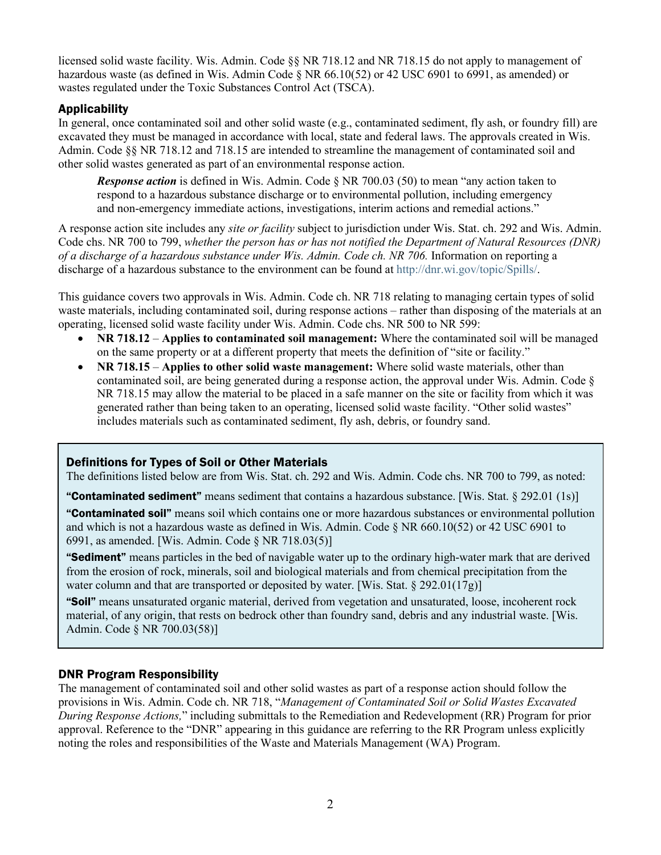licensed solid waste facility. Wis. Admin. Code §§ NR 718.12 and NR 718.15 do not apply to management of hazardous waste (as defined in Wis. Admin Code § NR 66.10(52) or 42 USC 6901 to 6991, as amended) or wastes regulated under the Toxic Substances Control Act (TSCA).

### Applicability

In general, once contaminated soil and other solid waste (e.g., contaminated sediment, fly ash, or foundry fill) are excavated they must be managed in accordance with local, state and federal laws. The approvals created in Wis. Admin. Code §§ NR 718.12 and 718.15 are intended to streamline the management of contaminated soil and other solid wastes generated as part of an environmental response action.

*Response action* is defined in Wis. Admin. Code § NR 700.03 (50) to mean "any action taken to respond to a hazardous substance discharge or to environmental pollution, including emergency and non-emergency immediate actions, investigations, interim actions and remedial actions."

A response action site includes any *site or facility* subject to jurisdiction under Wis. Stat. ch. 292 and Wis. Admin. Code chs. NR 700 to 799, *whether the person has or has not notified the Department of Natural Resources (DNR) of a discharge of a hazardous substance under Wis. Admin. Code ch. NR 706.* Information on reporting a discharge of a hazardous substance to the environment can be found at [http://dnr.wi.gov/topic/Spills/.](http://dnr.wi.gov/topic/Spills/)

This guidance covers two approvals in Wis. Admin. Code ch. NR 718 relating to managing certain types of solid waste materials, including contaminated soil, during response actions – rather than disposing of the materials at an operating, licensed solid waste facility under Wis. Admin. Code chs. NR 500 to NR 599:

- **NR 718.12 Applies to contaminated soil management:** Where the contaminated soil will be managed on the same property or at a different property that meets the definition of "site or facility."
- **NR 718.15 Applies to other solid waste management:** Where solid waste materials, other than contaminated soil, are being generated during a response action, the approval under Wis. Admin. Code § NR 718.15 may allow the material to be placed in a safe manner on the site or facility from which it was generated rather than being taken to an operating, licensed solid waste facility. "Other solid wastes" includes materials such as contaminated sediment, fly ash, debris, or foundry sand.

#### Definitions for Types of Soil or Other Materials

The definitions listed below are from Wis. Stat. ch. 292 and Wis. Admin. Code chs. NR 700 to 799, as noted:

"Contaminated sediment" means sediment that contains a hazardous substance. [Wis. Stat.  $\S$  292.01 (1s)]

"Contaminated soil" means soil which contains one or more hazardous substances or environmental pollution and which is not a hazardous waste as defined in Wis. Admin. Code § NR 660.10(52) or 42 USC 6901 to 6991, as amended. [Wis. Admin. Code § NR 718.03(5)]

**"Sediment**" means particles in the bed of navigable water up to the ordinary high-water mark that are derived from the erosion of rock, minerals, soil and biological materials and from chemical precipitation from the water column and that are transported or deposited by water. [Wis. Stat.  $\S 292.01(17g)$ ]

"Soil" means unsaturated organic material, derived from vegetation and unsaturated, loose, incoherent rock material, of any origin, that rests on bedrock other than foundry sand, debris and any industrial waste. [Wis. Admin. Code § NR 700.03(58)]

#### DNR Program Responsibility

The management of contaminated soil and other solid wastes as part of a response action should follow the provisions in Wis. Admin. Code ch. NR 718, "*Management of Contaminated Soil or Solid Wastes Excavated During Response Actions,*" including submittals to the Remediation and Redevelopment (RR) Program for prior approval. Reference to the "DNR" appearing in this guidance are referring to the RR Program unless explicitly noting the roles and responsibilities of the Waste and Materials Management (WA) Program.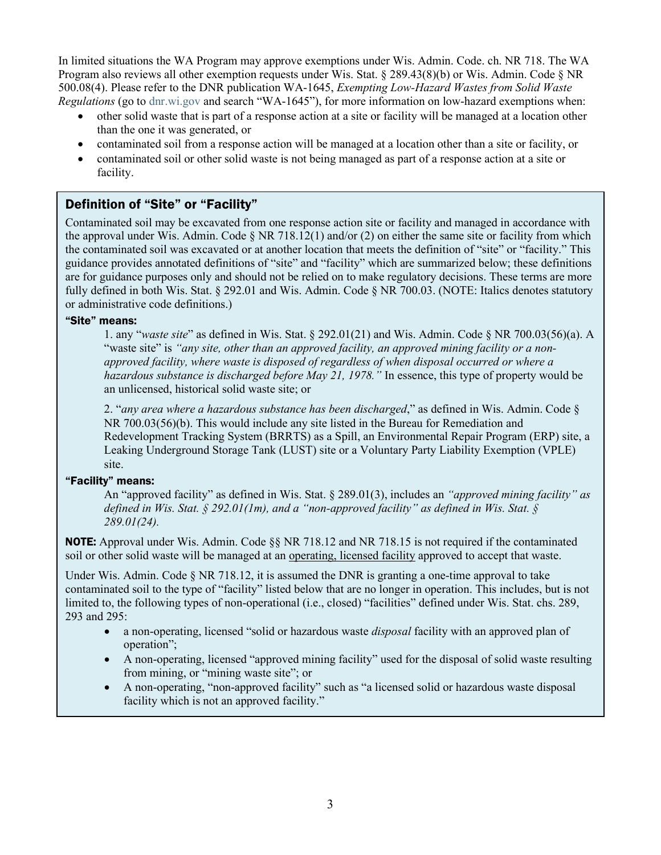In limited situations the WA Program may approve exemptions under Wis. Admin. Code. ch. NR 718. The WA Program also reviews all other exemption requests under Wis. Stat. § 289.43(8)(b) or Wis. Admin. Code § NR 500.08(4). Please refer to the DNR publication WA-1645, *Exempting Low-Hazard Wastes from Solid Waste Regulations* (go to [dnr.wi.gov](https://dnr.wisconsin.gov/) and search "WA-1645"), for more information on low-hazard exemptions when:

- other solid waste that is part of a response action at a site or facility will be managed at a location other than the one it was generated, or
- contaminated soil from a response action will be managed at a location other than a site or facility, or
- contaminated soil or other solid waste is not being managed as part of a response action at a site or facility.

## Definition of "Site" or "Facility"

Contaminated soil may be excavated from one response action site or facility and managed in accordance with the approval under Wis. Admin. Code  $\S$  NR 718.12(1) and/or (2) on either the same site or facility from which the contaminated soil was excavated or at another location that meets the definition of "site" or "facility." This guidance provides annotated definitions of "site" and "facility" which are summarized below; these definitions are for guidance purposes only and should not be relied on to make regulatory decisions. These terms are more fully defined in both Wis. Stat. § 292.01 and Wis. Admin. Code § NR 700.03. (NOTE: Italics denotes statutory or administrative code definitions.)

#### "Site" means:

1. any "*waste site*" as defined in Wis. Stat. [§ 292.01\(21\)](http://docs.legis.wisconsin.gov/document/statutes/292.01(21)) and Wis. Admin. Code § NR 700.03(56)(a). A "waste site" is *"any site, other than an approved facility, an approved mining facility or a nonapproved facility, where waste is disposed of regardless of when disposal occurred or where a hazardous substance is discharged before May 21, 1978."* In essence, this type of property would be an unlicensed, historical solid waste site; or

2. "*any area where a hazardous substance has been discharged*," as defined in Wis. Admin. Code § [NR 700.03\(56\)\(b\).](http://docs.legis.wisconsin.gov/document/administrativecode/NR%20700.03(56)(b)) This would include any site listed in the Bureau for Remediation and Redevelopment Tracking System (BRRTS) as a Spill, an Environmental Repair Program (ERP) site, a Leaking Underground Storage Tank (LUST) site or a Voluntary Party Liability Exemption (VPLE) site.

#### "Facility" means:

An "approved facility" as defined in Wis. Stat. § [289.01\(3\),](http://docs.legis.wisconsin.gov/document/statutes/289.01(3)) includes an *"approved mining facility" as defined in Wis. Stat. § [292.01\(1m\),](http://docs.legis.wisconsin.gov/document/statutes/292.01(1m)) and a "non-approved facility" as defined in Wis. Stat. § [289.01\(24\).](http://docs.legis.wisconsin.gov/document/statutes/289.01(24))* 

**NOTE:** Approval under Wis. Admin. Code §§ NR 718.12 and NR 718.15 is not required if the contaminated soil or other solid waste will be managed at an operating, licensed facility approved to accept that waste.

Under Wis. Admin. Code § NR 718.12, it is assumed the DNR is granting a one-time approval to take contaminated soil to the type of "facility" listed below that are no longer in operation. This includes, but is not limited to, the following types of non-operational (i.e., closed) "facilities" defined under Wis. Stat. chs. 289, 293 and 295:

- a non-operating, licensed "solid or hazardous waste *disposal* facility with an approved plan of operation";
- A non-operating, licensed "approved mining facility" used for the disposal of solid waste resulting from mining, or "mining waste site"; or
- A non-operating, "non-approved facility" such as "a licensed solid or hazardous waste disposal facility which is not an approved facility."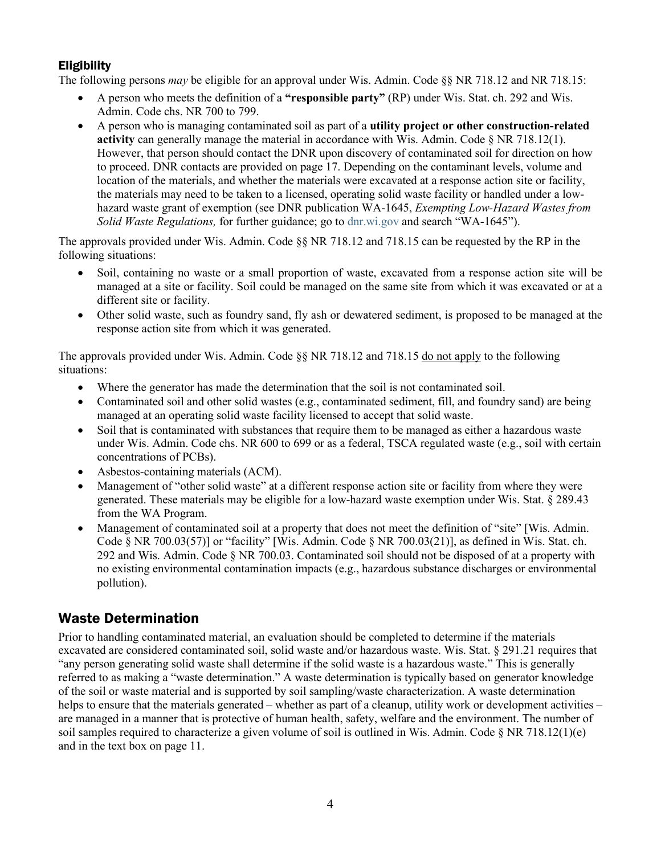## **Eligibility**

The following persons *may* be eligible for an approval under Wis. Admin. Code §§ NR 718.12 and NR 718.15:

- A person who meets the definition of a **"responsible party"** (RP) under Wis. Stat. ch. 292 and Wis. Admin. Code chs. NR 700 to 799.
- A person who is managing contaminated soil as part of a **utility project or other construction-related activity** can generally manage the material in accordance with Wis. Admin. Code § NR 718.12(1). However, that person should contact the DNR upon discovery of contaminated soil for direction on how to proceed. DNR contacts are provided on page 17. Depending on the contaminant levels, volume and location of the materials, and whether the materials were excavated at a response action site or facility, the materials may need to be taken to a licensed, operating solid waste facility or handled under a lowhazard waste grant of exemption (see DNR publication WA-1645, *Exempting Low-Hazard Wastes from Solid Waste Regulations,* for further guidance; go to [dnr.wi.gov](https://dnr.wisconsin.gov/) and search "WA-1645").

The approvals provided under Wis. Admin. Code §§ NR 718.12 and 718.15 can be requested by the RP in the following situations:

- Soil, containing no waste or a small proportion of waste, excavated from a response action site will be managed at a site or facility. Soil could be managed on the same site from which it was excavated or at a different site or facility.
- Other solid waste, such as foundry sand, fly ash or dewatered sediment, is proposed to be managed at the response action site from which it was generated.

The approvals provided under Wis. Admin. Code §§ NR 718.12 and 718.15 do not apply to the following situations:

- Where the generator has made the determination that the soil is not contaminated soil.
- Contaminated soil and other solid wastes (e.g., contaminated sediment, fill, and foundry sand) are being managed at an operating solid waste facility licensed to accept that solid waste.
- Soil that is contaminated with substances that require them to be managed as either a hazardous waste under Wis. Admin. Code chs. NR 600 to 699 or as a federal, TSCA regulated waste (e.g., soil with certain concentrations of PCBs).
- Asbestos-containing materials (ACM).
- Management of "other solid waste" at a different response action site or facility from where they were generated. These materials may be eligible for a low-hazard waste exemption under Wis. Stat. § 289.43 from the WA Program.
- Management of contaminated soil at a property that does not meet the definition of "site" [Wis. Admin. Code § NR 700.03(57)] or "facility" [Wis. Admin. Code § NR 700.03(21)], as defined in Wis. Stat. ch. 292 and Wis. Admin. Code § NR 700.03. Contaminated soil should not be disposed of at a property with no existing environmental contamination impacts (e.g., hazardous substance discharges or environmental pollution).

## Waste Determination

Prior to handling contaminated material, an evaluation should be completed to determine if the materials excavated are considered contaminated soil, solid waste and/or hazardous waste. Wis. Stat. § 291.21 requires that "any person generating solid waste shall determine if the solid waste is a hazardous waste." This is generally referred to as making a "waste determination." A waste determination is typically based on generator knowledge of the soil or waste material and is supported by soil sampling/waste characterization. A waste determination helps to ensure that the materials generated – whether as part of a cleanup, utility work or development activities – are managed in a manner that is protective of human health, safety, welfare and the environment. The number of soil samples required to characterize a given volume of soil is outlined in Wis. Admin. Code  $\gamma$  NR 718.12(1)(e) and in the text box on page 11.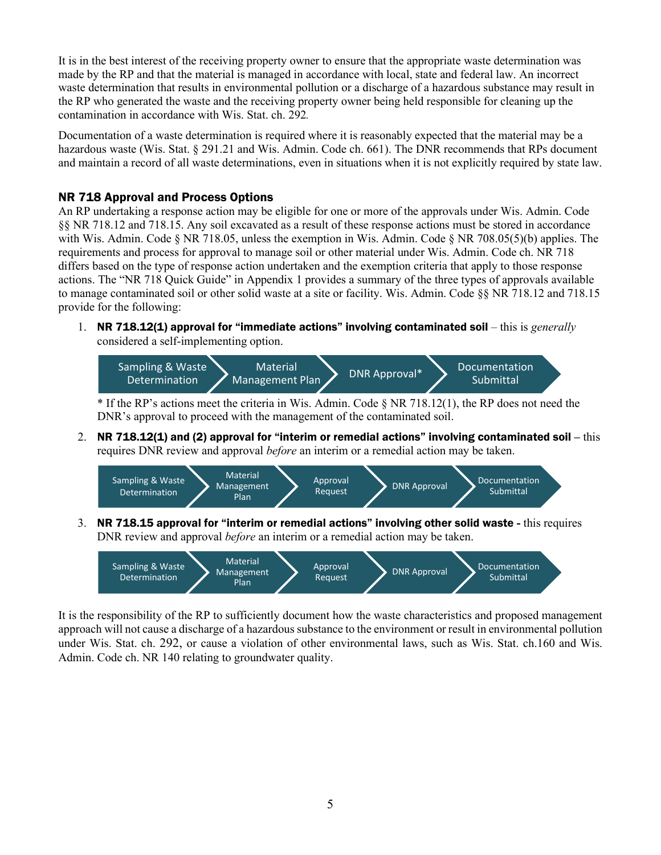It is in the best interest of the receiving property owner to ensure that the appropriate waste determination was made by the RP and that the material is managed in accordance with local, state and federal law. An incorrect waste determination that results in environmental pollution or a discharge of a hazardous substance may result in the RP who generated the waste and the receiving property owner being held responsible for cleaning up the contamination in accordance with Wis. Stat. ch. 292*.*

Documentation of a waste determination is required where it is reasonably expected that the material may be a hazardous waste (Wis. Stat. § 291.21 and Wis. Admin. Code ch. 661). The DNR recommends that RPs document and maintain a record of all waste determinations, even in situations when it is not explicitly required by state law.

### NR 718 Approval and Process Options

An RP undertaking a response action may be eligible for one or more of the approvals under Wis. Admin. Code §§ NR 718.12 and 718.15. Any soil excavated as a result of these response actions must be stored in accordance with Wis. Admin. Code § NR 718.05, unless the exemption in Wis. Admin. Code § NR 708.05(5)(b) applies. The requirements and process for approval to manage soil or other material under Wis. Admin. Code ch. NR 718 differs based on the type of response action undertaken and the exemption criteria that apply to those response actions. The "NR 718 Quick Guide" in Appendix 1 provides a summary of the three types of approvals available to manage contaminated soil or other solid waste at a site or facility. Wis. Admin. Code §§ NR 718.12 and 718.15 provide for the following:

1. NR 718.12(1) approval for "immediate actions" involving contaminated soil – this is *generally* considered a self-implementing option.



\* If the RP's actions meet the criteria in Wis. Admin. Code § NR 718.12(1), the RP does not need the DNR's approval to proceed with the management of the contaminated soil.

2. NR 718.12(1) and (2) approval for "interim or remedial actions" involving contaminated soil **–** this requires DNR review and approval *before* an interim or a remedial action may be taken.



3. NR 718.15 approval for "interim or remedial actions" involving other solid waste **-** this requires DNR review and approval *before* an interim or a remedial action may be taken.



It is the responsibility of the RP to sufficiently document how the waste characteristics and proposed management approach will not cause a discharge of a hazardous substance to the environment or result in environmental pollution under Wis. Stat. ch. 292, or cause a violation of other environmental laws, such as Wis. Stat. ch.160 and Wis. Admin. Code ch. NR 140 relating to groundwater quality.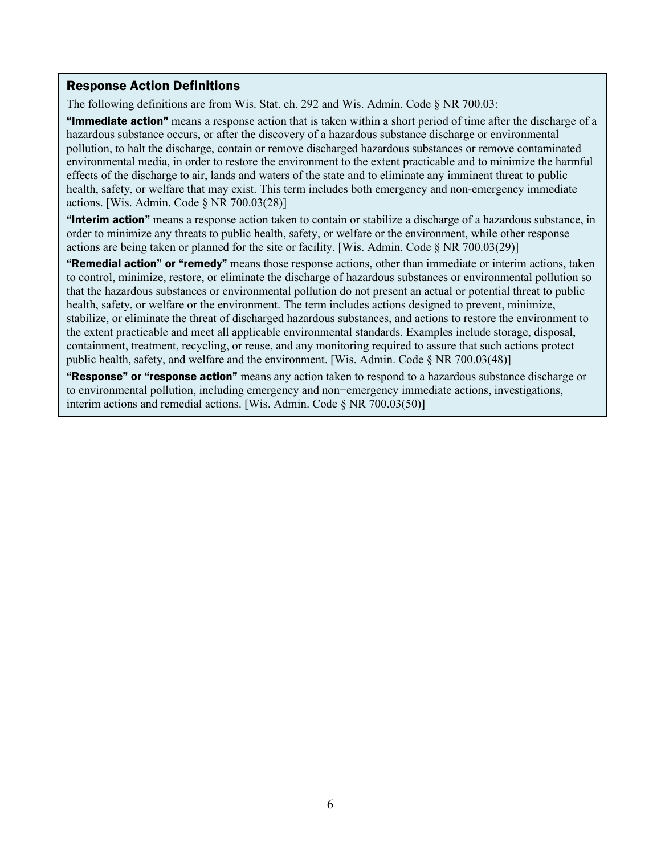#### Response Action Definitions

The following definitions are from Wis. Stat. ch. 292 and Wis. Admin. Code § NR 700.03:

"Immediate action" means a response action that is taken within a short period of time after the discharge of a hazardous substance occurs, or after the discovery of a hazardous substance discharge or environmental pollution, to halt the discharge, contain or remove discharged hazardous substances or remove contaminated environmental media, in order to restore the environment to the extent practicable and to minimize the harmful effects of the discharge to air, lands and waters of the state and to eliminate any imminent threat to public health, safety, or welfare that may exist. This term includes both emergency and non-emergency immediate actions. [Wis. Admin. Code § NR 700.03(28)]

"Interim action" means a response action taken to contain or stabilize a discharge of a hazardous substance, in order to minimize any threats to public health, safety, or welfare or the environment, while other response actions are being taken or planned for the site or facility. [Wis. Admin. Code § NR 700.03(29)]

"Remedial action" or "remedy" means those response actions, other than immediate or interim actions, taken to control, minimize, restore, or eliminate the discharge of hazardous substances or environmental pollution so that the hazardous substances or environmental pollution do not present an actual or potential threat to public health, safety, or welfare or the environment. The term includes actions designed to prevent, minimize, stabilize, or eliminate the threat of discharged hazardous substances, and actions to restore the environment to the extent practicable and meet all applicable environmental standards. Examples include storage, disposal, containment, treatment, recycling, or reuse, and any monitoring required to assure that such actions protect public health, safety, and welfare and the environment. [Wis. Admin. Code  $\S$  NR 700.03(48)]

"Response" or "response action" means any action taken to respond to a hazardous substance discharge or to environmental pollution, including emergency and non−emergency immediate actions, investigations, interim actions and remedial actions. [Wis. Admin. Code § NR 700.03(50)]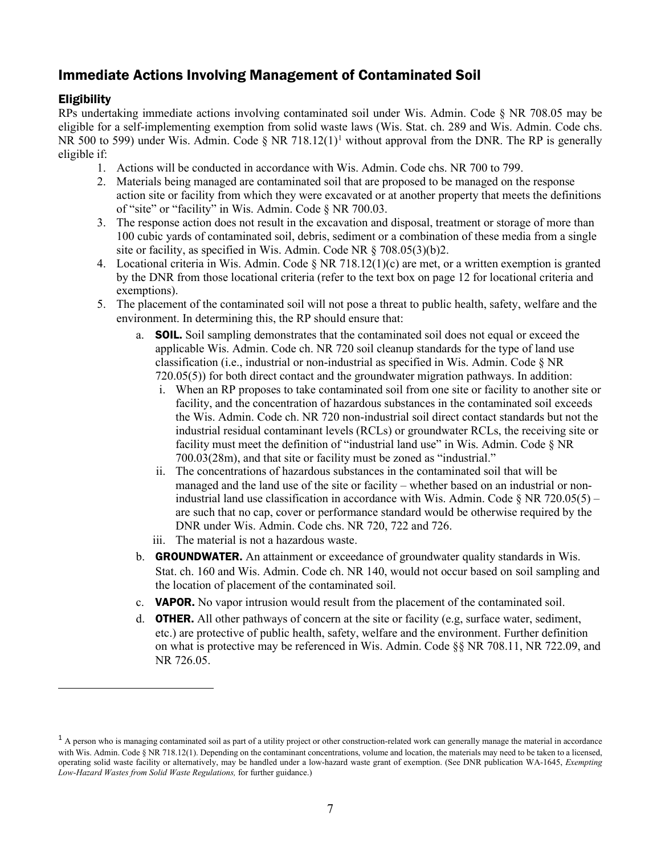## Immediate Actions Involving Management of Contaminated Soil

### Eligibility

RPs undertaking immediate actions involving contaminated soil under Wis. Admin. Code § NR 708.05 may be eligible for a self-implementing exemption from solid waste laws (Wis. Stat. ch. 289 and Wis. Admin. Code chs. NR 500 to 599) under Wis. Admin. Code  $\S$  NR 718.12(1)<sup>1</sup> without approval from the DNR. The RP is generally eligible if:

- 1. Actions will be conducted in accordance with Wis. Admin. Code chs. NR 700 to 799.
- 2. Materials being managed are contaminated soil that are proposed to be managed on the response action site or facility from which they were excavated or at another property that meets the definitions of "site" or "facility" in Wis. Admin. Code § NR 700.03.
- 3. The response action does not result in the excavation and disposal, treatment or storage of more than 100 cubic yards of contaminated soil, debris, sediment or a combination of these media from a single site or facility, as specified in Wis. Admin. Code NR § 708.05(3)(b)2.
- 4. Locational criteria in Wis. Admin. Code  $\S$  NR 718.12(1)(c) are met, or a written exemption is granted by the DNR from those locational criteria (refer to the text box on page 12 for locational criteria and exemptions).
- 5. The placement of the contaminated soil will not pose a threat to public health, safety, welfare and the environment. In determining this, the RP should ensure that:
	- a. SOIL. Soil sampling demonstrates that the contaminated soil does not equal or exceed the applicable Wis. Admin. Code ch. NR 720 soil cleanup standards for the type of land use classification (i.e., industrial or non-industrial as specified in Wis. Admin. Code § NR 720.05(5)) for both direct contact and the groundwater migration pathways. In addition:
		- i. When an RP proposes to take contaminated soil from one site or facility to another site or facility, and the concentration of hazardous substances in the contaminated soil exceeds the Wis. Admin. Code ch. NR 720 non-industrial soil direct contact standards but not the industrial residual contaminant levels (RCLs) or groundwater RCLs, the receiving site or facility must meet the definition of "industrial land use" in Wis. Admin. Code § NR 700.03(28m), and that site or facility must be zoned as "industrial."
		- ii. The concentrations of hazardous substances in the contaminated soil that will be managed and the land use of the site or facility – whether based on an industrial or nonindustrial land use classification in accordance with Wis. Admin. Code § NR 720.05(5) – are such that no cap, cover or performance standard would be otherwise required by the DNR under Wis. Admin. Code chs. NR 720, 722 and 726.
		- iii. The material is not a hazardous waste.
	- b. GROUNDWATER. An attainment or exceedance of groundwater quality standards in Wis. Stat. ch. 160 and Wis. Admin. Code ch. NR 140, would not occur based on soil sampling and the location of placement of the contaminated soil.
	- c. VAPOR. No vapor intrusion would result from the placement of the contaminated soil.
	- d. **OTHER.** All other pathways of concern at the site or facility (e.g. surface water, sediment, etc.) are protective of public health, safety, welfare and the environment. Further definition on what is protective may be referenced in Wis. Admin. Code §§ NR 708.11, NR 722.09, and NR 726.05.

<span id="page-6-0"></span> $<sup>1</sup>$  A person who is managing contaminated soil as part of a utility project or other construction-related work can generally manage the material in accordance</sup> with Wis. Admin. Code § NR 718.12(1). Depending on the contaminant concentrations, volume and location, the materials may need to be taken to a licensed, operating solid waste facility or alternatively, may be handled under a low-hazard waste grant of exemption. (See DNR publication WA-1645, *Exempting Low-Hazard Wastes from Solid Waste Regulations,* for further guidance.)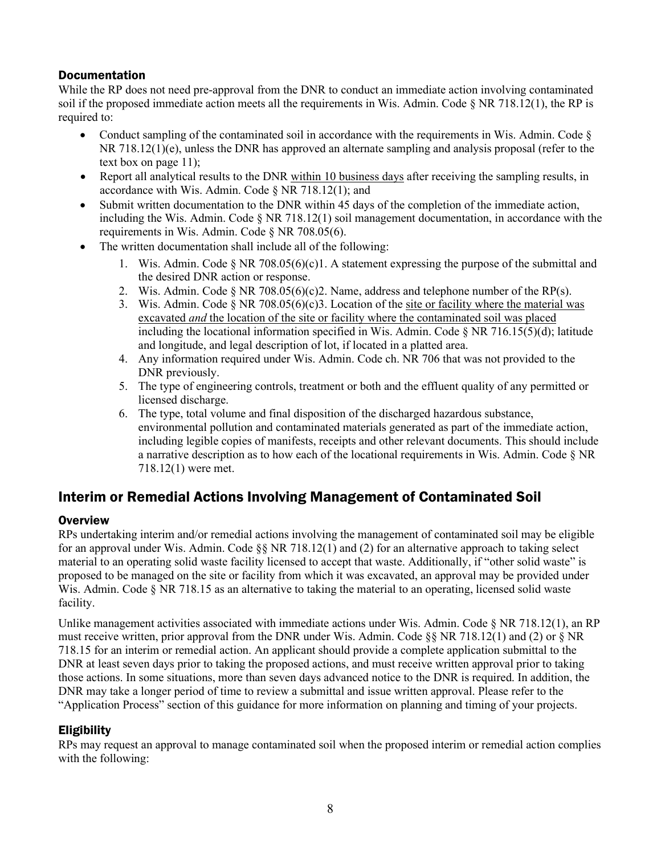### **Documentation**

While the RP does not need pre-approval from the DNR to conduct an immediate action involving contaminated soil if the proposed immediate action meets all the requirements in Wis. Admin. Code § NR 718.12(1), the RP is required to:

- Conduct sampling of the contaminated soil in accordance with the requirements in Wis. Admin. Code  $\S$ NR 718.12(1)(e), unless the DNR has approved an alternate sampling and analysis proposal (refer to the text box on page 11);
- Report all analytical results to the DNR within 10 business days after receiving the sampling results, in accordance with Wis. Admin. Code § NR 718.12(1); and
- Submit written documentation to the DNR within 45 days of the completion of the immediate action, including the Wis. Admin. Code  $\S$  NR 718.12(1) soil management documentation, in accordance with the requirements in Wis. Admin. Code § NR 708.05(6).
- The written documentation shall include all of the following:
	- 1. Wis. Admin. Code  $\S$  NR 708.05(6)(c)1. A statement expressing the purpose of the submittal and the desired DNR action or response.
	- 2. Wis. Admin. Code  $\S$  NR 708.05(6)(c)2. Name, address and telephone number of the RP(s).
	- 3. Wis. Admin. Code  $\S$  NR 708.05(6)(c)3. Location of the site or facility where the material was excavated *and* the location of the site or facility where the contaminated soil was placed including the locational information specified in Wis. Admin. Code  $\S$  NR 716.15(5)(d); latitude and longitude, and legal description of lot, if located in a platted area.
	- 4. Any information required under Wis. Admin. Code ch. [NR 706](http://docs.legis.wisconsin.gov/document/administrativecode/ch.%20NR%20706) that was not provided to the DNR previously.
	- 5. The type of engineering controls, treatment or both and the effluent quality of any permitted or licensed discharge.
	- 6. The type, total volume and final disposition of the discharged hazardous substance, environmental pollution and contaminated materials generated as part of the immediate action, including legible copies of manifests, receipts and other relevant documents. This should include a narrative description as to how each of the locational requirements in Wis. Admin. Code § NR 718.12(1) were met.

## Interim or Remedial Actions Involving Management of Contaminated Soil

#### **Overview**

RPs undertaking interim and/or remedial actions involving the management of contaminated soil may be eligible for an approval under Wis. Admin. Code §§ NR 718.12(1) and (2) for an alternative approach to taking select material to an operating solid waste facility licensed to accept that waste. Additionally, if "other solid waste" is proposed to be managed on the site or facility from which it was excavated, an approval may be provided under Wis. Admin. Code § NR 718.15 as an alternative to taking the material to an operating, licensed solid waste facility.

Unlike management activities associated with immediate actions under Wis. Admin. Code § NR 718.12(1), an RP must receive written, prior approval from the DNR under Wis. Admin. Code  $\S$  NR 718.12(1) and (2) or  $\S$  NR 718.15 for an interim or remedial action. An applicant should provide a complete application submittal to the DNR at least seven days prior to taking the proposed actions, and must receive written approval prior to taking those actions. In some situations, more than seven days advanced notice to the DNR is required. In addition, the DNR may take a longer period of time to review a submittal and issue written approval. Please refer to the "Application Process" section of this guidance for more information on planning and timing of your projects.

#### **Eligibility**

RPs may request an approval to manage contaminated soil when the proposed interim or remedial action complies with the following: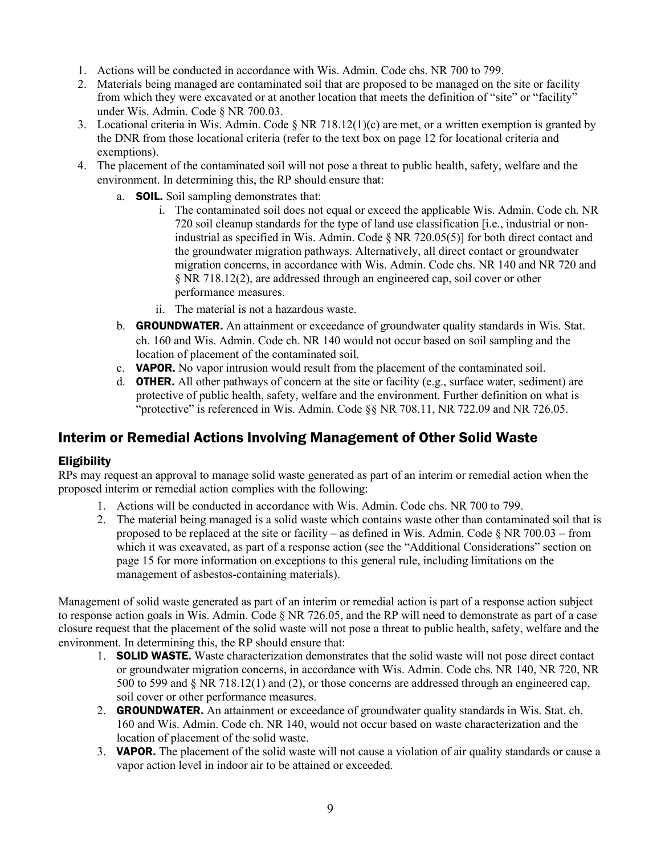- 1. Actions will be conducted in accordance with Wis. Admin. Code chs. NR 700 to 799.
- 2. Materials being managed are contaminated soil that are proposed to be managed on the site or facility from which they were excavated or at another location that meets the definition of "site" or "facility" under Wis. Admin. Code § NR 700.03.
- 3. Locational criteria in Wis. Admin. Code § NR 718.12(1)(c) are met, or a written exemption is granted by the DNR from those locational criteria (refer to the text box on page 12 for locational criteria and exemptions).
- 4. The placement of the contaminated soil will not pose a threat to public health, safety, welfare and the environment. In determining this, the RP should ensure that:
	- a. SOIL. Soil sampling demonstrates that:
		- i. The contaminated soil does not equal or exceed the applicable Wis. Admin. Code ch. NR 720 soil cleanup standards for the type of land use classification [i.e., industrial or nonindustrial as specified in Wis. Admin. Code § NR 720.05(5)] for both direct contact and the groundwater migration pathways. Alternatively, all direct contact or groundwater migration concerns, in accordance with Wis. Admin. Code chs. NR 140 and NR 720 and § NR 718.12(2), are addressed through an engineered cap, soil cover or other performance measures.
		- ii. The material is not a hazardous waste.
	- b. GROUNDWATER. An attainment or exceedance of groundwater quality standards in Wis. Stat. ch. 160 and Wis. Admin. Code ch. NR 140 would not occur based on soil sampling and the location of placement of the contaminated soil.
	- c. VAPOR. No vapor intrusion would result from the placement of the contaminated soil.
	- d. **OTHER.** All other pathways of concern at the site or facility (e.g., surface water, sediment) are protective of public health, safety, welfare and the environment. Further definition on what is "protective" is referenced in Wis. Admin. Code §§ NR 708.11, NR 722.09 and NR 726.05.

## Interim or Remedial Actions Involving Management of Other Solid Waste

#### **Eligibility**

RPs may request an approval to manage solid waste generated as part of an interim or remedial action when the proposed interim or remedial action complies with the following:

- 1. Actions will be conducted in accordance with Wis. Admin. Code chs. NR 700 to 799.
- 2. The material being managed is a solid waste which contains waste other than contaminated soil that is proposed to be replaced at the site or facility – as defined in Wis. Admin. Code  $\S$  NR 700.03 – from which it was excavated, as part of a response action (see the "Additional Considerations" section on page 15 for more information on exceptions to this general rule, including limitations on the management of asbestos-containing materials).

Management of solid waste generated as part of an interim or remedial action is part of a response action subject to response action goals in Wis. Admin. Code § NR 726.05, and the RP will need to demonstrate as part of a case closure request that the placement of the solid waste will not pose a threat to public health, safety, welfare and the environment. In determining this, the RP should ensure that:

- 1. **SOLID WASTE.** Waste characterization demonstrates that the solid waste will not pose direct contact or groundwater migration concerns, in accordance with Wis. Admin. Code chs. NR 140, NR 720, NR 500 to 599 and § NR 718.12(1) and (2), or those concerns are addressed through an engineered cap, soil cover or other performance measures.
- 2. **GROUNDWATER.** An attainment or exceedance of groundwater quality standards in Wis. Stat. ch. 160 and Wis. Admin. Code ch. NR 140, would not occur based on waste characterization and the location of placement of the solid waste.
- 3. **VAPOR.** The placement of the solid waste will not cause a violation of air quality standards or cause a vapor action level in indoor air to be attained or exceeded.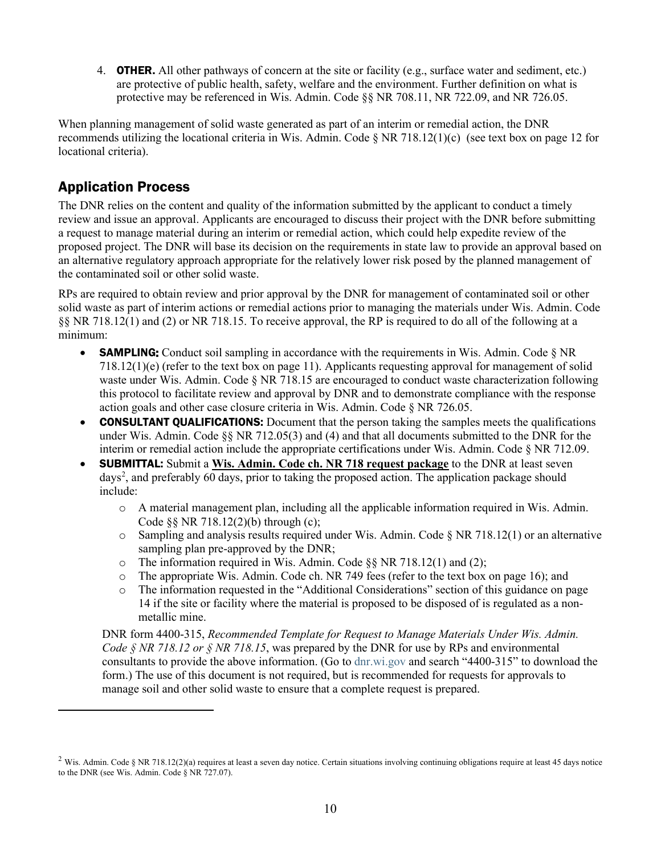4. **OTHER.** All other pathways of concern at the site or facility (e.g., surface water and sediment, etc.) are protective of public health, safety, welfare and the environment. Further definition on what is protective may be referenced in Wis. Admin. Code §§ NR 708.11, NR 722.09, and NR 726.05.

When planning management of solid waste generated as part of an interim or remedial action, the DNR recommends utilizing the locational criteria in Wis. Admin. Code  $\S$  NR 718.12(1)(c) (see text box on page 12 for locational criteria).

## Application Process

The DNR relies on the content and quality of the information submitted by the applicant to conduct a timely review and issue an approval. Applicants are encouraged to discuss their project with the DNR before submitting a request to manage material during an interim or remedial action, which could help expedite review of the proposed project. The DNR will base its decision on the requirements in state law to provide an approval based on an alternative regulatory approach appropriate for the relatively lower risk posed by the planned management of the contaminated soil or other solid waste.

RPs are required to obtain review and prior approval by the DNR for management of contaminated soil or other solid waste as part of interim actions or remedial actions prior to managing the materials under Wis. Admin. Code §§ NR 718.12(1) and (2) or NR 718.15. To receive approval, the RP is required to do all of the following at a minimum:

- **SAMPLING:** Conduct soil sampling in accordance with the requirements in Wis. Admin. Code  $\S$  NR 718.12(1)(e) (refer to the text box on page 11). Applicants requesting approval for management of solid waste under Wis. Admin. Code § NR 718.15 are encouraged to conduct waste characterization following this protocol to facilitate review and approval by DNR and to demonstrate compliance with the response action goals and other case closure criteria in Wis. Admin. Code § NR 726.05.
- CONSULTANT QUALIFICATIONS: Document that the person taking the samples meets the qualifications under Wis. Admin. Code §§ NR 712.05(3) and (4) and that all documents submitted to the DNR for the interim or remedial action include the appropriate certifications under Wis. Admin. Code § NR 712.09.
- SUBMITTAL: Submit a **Wis. Admin. Code ch. NR 718 request package** to the DNR at least seven days<sup>[2](#page-9-0)</sup>, and preferably 60 days, prior to taking the proposed action. The application package should include:
	- o A material management plan, including all the applicable information required in Wis. Admin. Code §§ NR 718.12(2)(b) through (c);
	- $\circ$  Sampling and analysis results required under Wis. Admin. Code  $\S$  NR 718.12(1) or an alternative sampling plan pre-approved by the DNR;
	- o The information required in Wis. Admin. Code  $\S$ § NR 718.12(1) and (2);<br>
	o The appropriate Wis. Admin. Code ch. NR 749 fees (refer to the text box
	- The appropriate Wis. Admin. Code ch. NR 749 fees (refer to the text box on page 16); and
	- o The information requested in the "Additional Considerations" section of this guidance on page 14 if the site or facility where the material is proposed to be disposed of is regulated as a nonmetallic mine.

DNR form 4400-315, *Recommended Template for Request to Manage Materials Under Wis. Admin. Code § NR 718.12 or § NR 718.15*, was prepared by the DNR for use by RPs and environmental consultants to provide the above information. (Go to [dnr.wi.gov](https://dnr.wisconsin.gov/) and search "4400-315" to download the form.) The use of this document is not required, but is recommended for requests for approvals to manage soil and other solid waste to ensure that a complete request is prepared.

<span id="page-9-0"></span><sup>&</sup>lt;sup>2</sup> Wis. Admin. Code § NR 718.12(2)(a) requires at least a seven day notice. Certain situations involving continuing obligations require at least 45 days notice to the DNR (see Wis. Admin. Code § NR 727.07).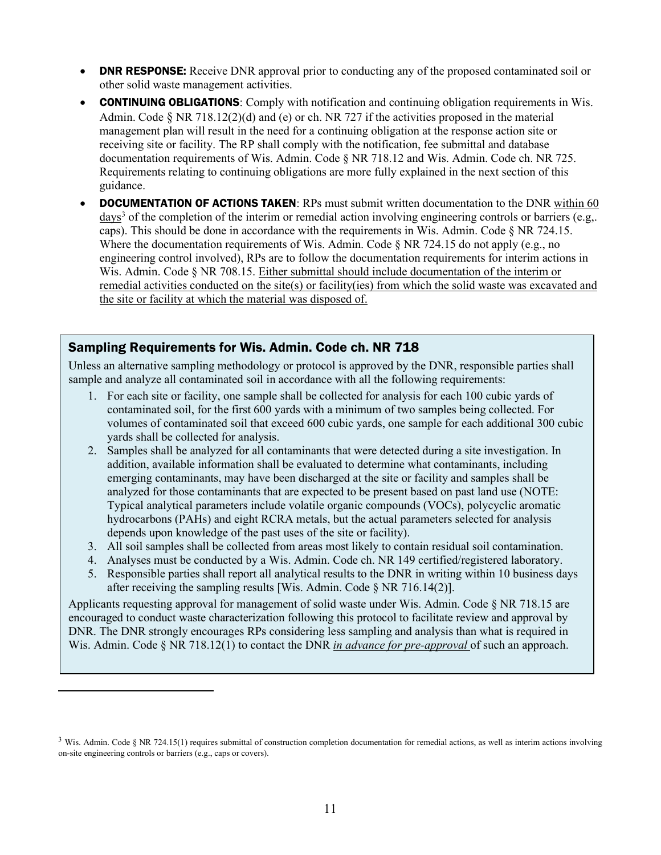- **DNR RESPONSE:** Receive DNR approval prior to conducting any of the proposed contaminated soil or other solid waste management activities.
- **CONTINUING OBLIGATIONS:** Comply with notification and continuing obligation requirements in Wis. Admin. Code § NR 718.12(2)(d) and (e) or ch. NR 727 if the activities proposed in the material management plan will result in the need for a continuing obligation at the response action site or receiving site or facility. The RP shall comply with the notification, fee submittal and database documentation requirements of Wis. Admin. Code § NR 718.12 and Wis. Admin. Code ch. NR 725. Requirements relating to continuing obligations are more fully explained in the next section of this guidance.
- **DOCUMENTATION OF ACTIONS TAKEN:** RPs must submit written documentation to the DNR within 60 days<sup>[3](#page-10-0)</sup> of the completion of the interim or remedial action involving engineering controls or barriers (e.g. caps). This should be done in accordance with the requirements in Wis. Admin. Code § NR 724.15. Where the documentation requirements of Wis. Admin. Code  $\delta$  NR 724.15 do not apply (e.g., no engineering control involved), RPs are to follow the documentation requirements for interim actions in Wis. Admin. Code § NR 708.15. Either submittal should include documentation of the interim or remedial activities conducted on the site(s) or facility(ies) from which the solid waste was excavated and the site or facility at which the material was disposed of.

#### Sampling Requirements for Wis. Admin. Code ch. NR 718

Unless an alternative sampling methodology or protocol is approved by the DNR, responsible parties shall sample and analyze all contaminated soil in accordance with all the following requirements:

- 1. For each site or facility, one sample shall be collected for analysis for each 100 cubic yards of contaminated soil, for the first 600 yards with a minimum of two samples being collected. For volumes of contaminated soil that exceed 600 cubic yards, one sample for each additional 300 cubic yards shall be collected for analysis.
- 2. Samples shall be analyzed for all contaminants that were detected during a site investigation. In addition, available information shall be evaluated to determine what contaminants, including emerging contaminants, may have been discharged at the site or facility and samples shall be analyzed for those contaminants that are expected to be present based on past land use (NOTE: Typical analytical parameters include volatile organic compounds (VOCs), polycyclic aromatic hydrocarbons (PAHs) and eight RCRA metals, but the actual parameters selected for analysis depends upon knowledge of the past uses of the site or facility).
- 3. All soil samples shall be collected from areas most likely to contain residual soil contamination.
- 4. Analyses must be conducted by a Wis. Admin. Code ch. NR 149 certified/registered laboratory.
- 5. Responsible parties shall report all analytical results to the DNR in writing within 10 business days after receiving the sampling results [Wis. Admin. Code § NR 716.14(2)].

Applicants requesting approval for management of solid waste under Wis. Admin. Code § NR 718.15 are encouraged to conduct waste characterization following this protocol to facilitate review and approval by DNR. The DNR strongly encourages RPs considering less sampling and analysis than what is required in Wis. Admin. Code § NR 718.12(1) to contact the DNR *in advance for pre-approval* of such an approach.

<span id="page-10-0"></span> $3$  Wis. Admin. Code § NR 724.15(1) requires submittal of construction completion documentation for remedial actions, as well as interim actions involving on-site engineering controls or barriers (e.g., caps or covers).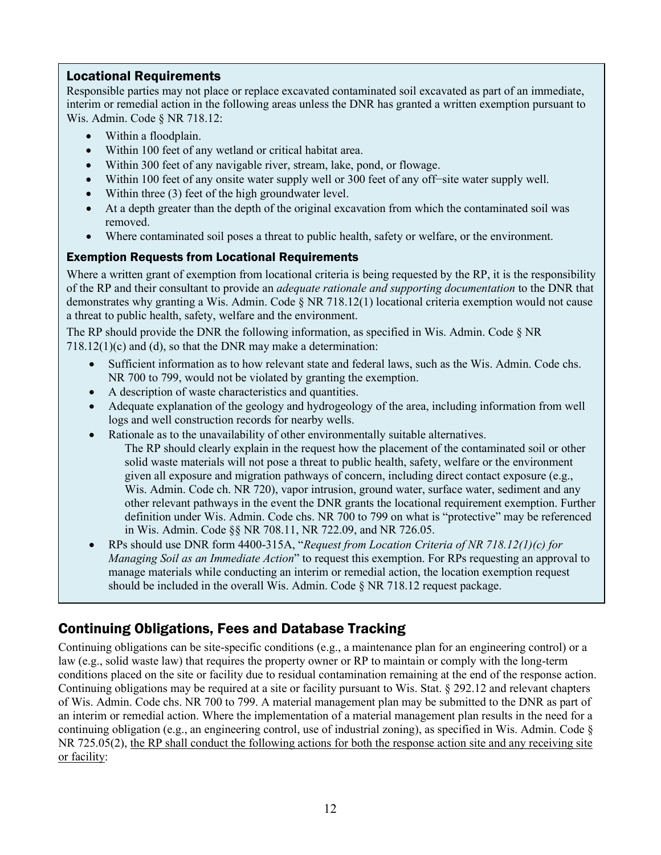## Locational Requirements

Responsible parties may not place or replace excavated contaminated soil excavated as part of an immediate, interim or remedial action in the following areas unless the DNR has granted a written exemption pursuant to Wis. Admin. Code § NR 718.12:

- Within a floodplain.
- Within 100 feet of any wetland or critical habitat area.
- Within 300 feet of any navigable river, stream, lake, pond, or flowage.
- Within 100 feet of any onsite water supply well or 300 feet of any off−site water supply well.
- Within three (3) feet of the high groundwater level.
- At a depth greater than the depth of the original excavation from which the contaminated soil was removed.
- Where contaminated soil poses a threat to public health, safety or welfare, or the environment.

## Exemption Requests from Locational Requirements

Where a written grant of exemption from locational criteria is being requested by the RP, it is the responsibility of the RP and their consultant to provide an *adequate rationale and supporting documentation* to the DNR that demonstrates why granting a Wis. Admin. Code § NR 718.12(1) locational criteria exemption would not cause a threat to public health, safety, welfare and the environment.

The RP should provide the DNR the following information, as specified in Wis. Admin. Code § NR 718.12(1)(c) and (d), so that the DNR may make a determination:

- Sufficient information as to how relevant state and federal laws, such as the Wis. Admin. Code chs. NR 700 to 799, would not be violated by granting the exemption.
- A description of waste characteristics and quantities.
- Adequate explanation of the geology and hydrogeology of the area, including information from well logs and well construction records for nearby wells.
- Rationale as to the unavailability of other environmentally suitable alternatives. The RP should clearly explain in the request how the placement of the contaminated soil or other solid waste materials will not pose a threat to public health, safety, welfare or the environment given all exposure and migration pathways of concern, including direct contact exposure (e.g.,
	- Wis. Admin. Code ch. NR 720), vapor intrusion, ground water, surface water, sediment and any other relevant pathways in the event the DNR grants the locational requirement exemption. Further definition under Wis. Admin. Code chs. NR 700 to 799 on what is "protective" may be referenced in Wis. Admin. Code §§ NR 708.11, NR 722.09, and NR 726.05.
- RPs should use DNR form 4400-315A, "*Request from Location Criteria of NR 718.12(1)(c) for Managing Soil as an Immediate Action*" to request this exemption. For RPs requesting an approval to manage materials while conducting an interim or remedial action, the location exemption request should be included in the overall Wis. Admin. Code § NR 718.12 request package.

## Continuing Obligations, Fees and Database Tracking

Continuing obligations can be site-specific conditions (e.g., a maintenance plan for an engineering control) or a law (e.g., solid waste law) that requires the property owner or RP to maintain or comply with the long-term conditions placed on the site or facility due to residual contamination remaining at the end of the response action. Continuing obligations may be required at a site or facility pursuant to Wis. Stat. § 292.12 and relevant chapters of Wis. Admin. Code chs. NR 700 to 799. A material management plan may be submitted to the DNR as part of an interim or remedial action. Where the implementation of a material management plan results in the need for a continuing obligation (e.g., an engineering control, use of industrial zoning), as specified in Wis. Admin. Code § NR 725.05(2), the RP shall conduct the following actions for both the response action site and any receiving site or facility: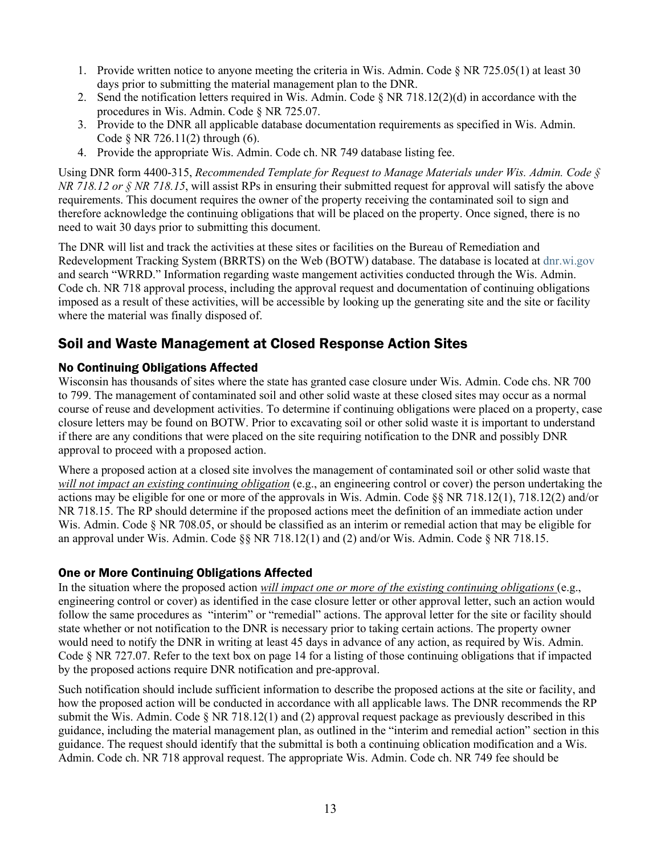- 1. Provide written notice to anyone meeting the criteria in Wis. Admin. Code § NR 725.05(1) at least 30 days prior to submitting the material management plan to the DNR.
- 2. Send the notification letters required in Wis. Admin. Code  $\delta$  NR 718.12(2)(d) in accordance with the procedures in Wis. Admin. Code § NR 725.07.
- 3. Provide to the DNR all applicable database documentation requirements as specified in Wis. Admin. Code § NR 726.11(2) through (6).
- 4. Provide the appropriate Wis. Admin. Code ch. NR 749 database listing fee.

Using DNR form 4400-315, *Recommended Template for Request to Manage Materials under Wis. Admin. Code § NR 718.12 or § NR 718.15*, will assist RPs in ensuring their submitted request for approval will satisfy the above requirements. This document requires the owner of the property receiving the contaminated soil to sign and therefore acknowledge the continuing obligations that will be placed on the property. Once signed, there is no need to wait 30 days prior to submitting this document.

The DNR will list and track the activities at these sites or facilities on the Bureau of Remediation and Redevelopment Tracking System (BRRTS) on the Web (BOTW) database. The database is located at [dnr.wi.gov](https://dnr.wisconsin.gov/) and search "WRRD." Information regarding waste mangement activities conducted through the Wis. Admin. Code ch. NR 718 approval process, including the approval request and documentation of continuing obligations imposed as a result of these activities, will be accessible by looking up the generating site and the site or facility where the material was finally disposed of.

## Soil and Waste Management at Closed Response Action Sites

#### No Continuing Obligations Affected

Wisconsin has thousands of sites where the state has granted case closure under Wis. Admin. Code chs. NR 700 to 799. The management of contaminated soil and other solid waste at these closed sites may occur as a normal course of reuse and development activities. To determine if continuing obligations were placed on a property, case closure letters may be found on BOTW. Prior to excavating soil or other solid waste it is important to understand if there are any conditions that were placed on the site requiring notification to the DNR and possibly DNR approval to proceed with a proposed action.

Where a proposed action at a closed site involves the management of contaminated soil or other solid waste that *will not impact an existing continuing obligation* (e.g., an engineering control or cover) the person undertaking the actions may be eligible for one or more of the approvals in Wis. Admin. Code §§ NR 718.12(1), 718.12(2) and/or NR 718.15. The RP should determine if the proposed actions meet the definition of an immediate action under Wis. Admin. Code § NR 708.05, or should be classified as an interim or remedial action that may be eligible for an approval under Wis. Admin. Code  $\S$  NR 718.12(1) and (2) and/or Wis. Admin. Code  $\S$  NR 718.15.

#### One or More Continuing Obligations Affected

In the situation where the proposed action *will impact one or more of the existing continuing obligations* (e.g., engineering control or cover) as identified in the case closure letter or other approval letter, such an action would follow the same procedures as "interim" or "remedial" actions. The approval letter for the site or facility should state whether or not notification to the DNR is necessary prior to taking certain actions. The property owner would need to notify the DNR in writing at least 45 days in advance of any action, as required by Wis. Admin. Code § NR 727.07. Refer to the text box on page 14 for a listing of those continuing obligations that if impacted by the proposed actions require DNR notification and pre-approval.

Such notification should include sufficient information to describe the proposed actions at the site or facility, and how the proposed action will be conducted in accordance with all applicable laws. The DNR recommends the RP submit the Wis. Admin. Code  $\S$  NR 718.12(1) and (2) approval request package as previously described in this guidance, including the material management plan, as outlined in the "interim and remedial action" section in this guidance. The request should identify that the submittal is both a continuing oblication modification and a Wis. Admin. Code ch. NR 718 approval request. The appropriate Wis. Admin. Code ch. NR 749 fee should be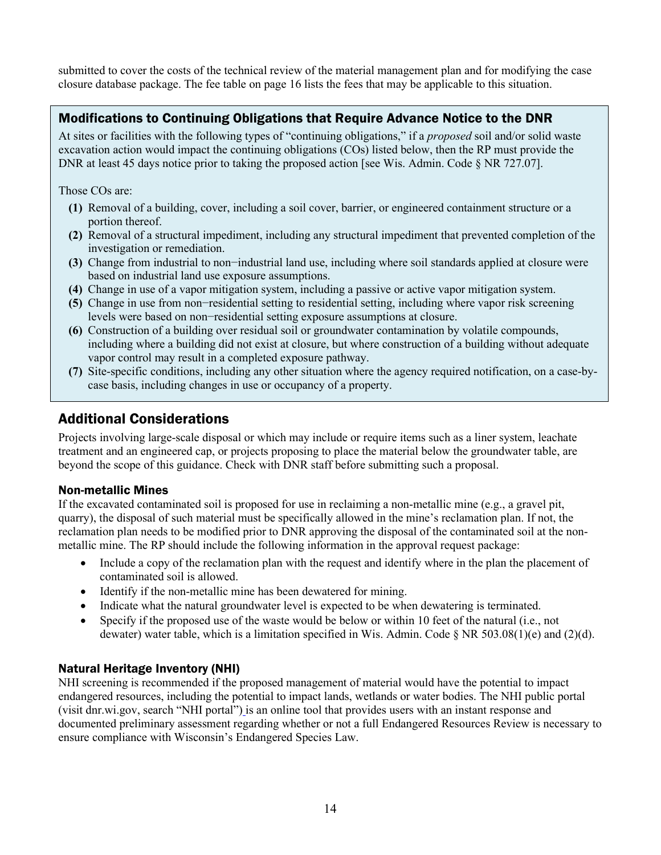submitted to cover the costs of the technical review of the material management plan and for modifying the case closure database package. The fee table on page 16 lists the fees that may be applicable to this situation.

## Modifications to Continuing Obligations that Require Advance Notice to the DNR

At sites or facilities with the following types of "continuing obligations," if a *proposed* soil and/or solid waste excavation action would impact the continuing obligations (COs) listed below, then the RP must provide the DNR at least 45 days notice prior to taking the proposed action [see Wis. Admin. Code § NR 727.07].

Those COs are:

- **(1)** Removal of a building, cover, including a soil cover, barrier, or engineered containment structure or a portion thereof.
- **(2)** Removal of a structural impediment, including any structural impediment that prevented completion of the investigation or remediation.
- **(3)** Change from industrial to non−industrial land use, including where soil standards applied at closure were based on industrial land use exposure assumptions.
- **(4)** Change in use of a vapor mitigation system, including a passive or active vapor mitigation system.
- **(5)** Change in use from non−residential setting to residential setting, including where vapor risk screening levels were based on non−residential setting exposure assumptions at closure.
- **(6)** Construction of a building over residual soil or groundwater contamination by volatile compounds, including where a building did not exist at closure, but where construction of a building without adequate vapor control may result in a completed exposure pathway.
- **(7)** Site-specific conditions, including any other situation where the agency required notification, on a case-bycase basis, including changes in use or occupancy of a property.

## Additional Considerations

Projects involving large-scale disposal or which may include or require items such as a liner system, leachate treatment and an engineered cap, or projects proposing to place the material below the groundwater table, are beyond the scope of this guidance. Check with DNR staff before submitting such a proposal.

### Non-metallic Mines

If the excavated contaminated soil is proposed for use in reclaiming a non-metallic mine (e.g., a gravel pit, quarry), the disposal of such material must be specifically allowed in the mine's reclamation plan. If not, the reclamation plan needs to be modified prior to DNR approving the disposal of the contaminated soil at the nonmetallic mine. The RP should include the following information in the approval request package:

- Include a copy of the reclamation plan with the request and identify where in the plan the placement of contaminated soil is allowed.
- Identify if the non-metallic mine has been dewatered for mining.
- Indicate what the natural groundwater level is expected to be when dewatering is terminated.
- Specify if the proposed use of the waste would be below or within 10 feet of the natural (i.e., not dewater) water table, which is a limitation specified in Wis. Admin. Code § NR 503.08(1)(e) and (2)(d).

### Natural Heritage Inventory (NHI)

NHI screening is recommended if the proposed management of material would have the potential to impact endangered resources, including the potential to impact lands, wetlands or water bodies. The NHI public portal (visit dnr.wi.gov, search "NHI portal") is an online tool that provides users with an instant response and documented preliminary assessment regarding whether or not a full Endangered Resources Review is necessary to ensure compliance with Wisconsin's Endangered Species Law.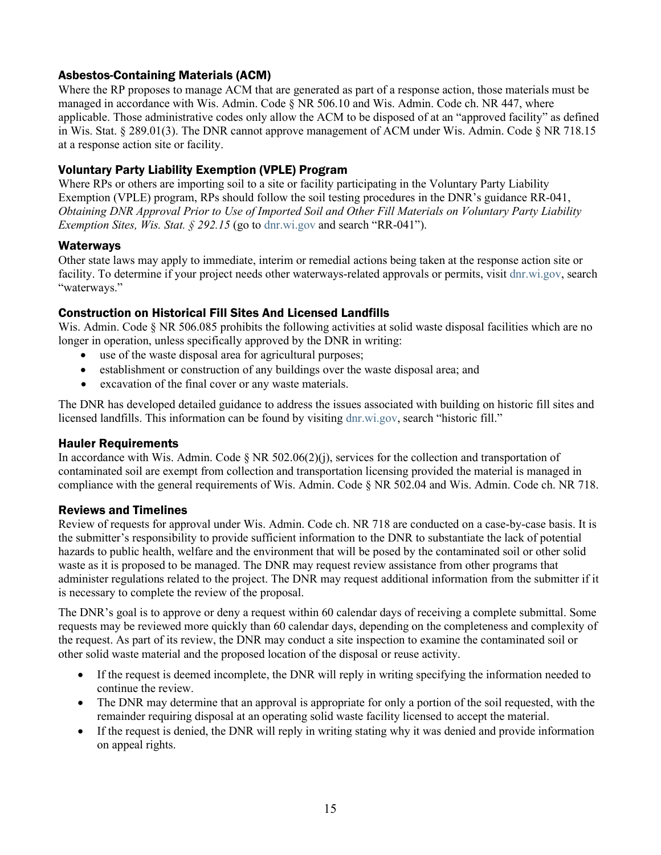## Asbestos-Containing Materials (ACM)

Where the RP proposes to manage ACM that are generated as part of a response action, those materials must be managed in accordance with Wis. Admin. Code § NR 506.10 and Wis. Admin. Code ch. NR 447, where applicable. Those administrative codes only allow the ACM to be disposed of at an "approved facility" as defined in Wis. Stat. § 289.01(3). The DNR cannot approve management of ACM under Wis. Admin. Code § NR 718.15 at a response action site or facility.

## Voluntary Party Liability Exemption (VPLE) Program

Where RPs or others are importing soil to a site or facility participating in the Voluntary Party Liability Exemption (VPLE) program, RPs should follow the soil testing procedures in the DNR's guidance RR-041, *Obtaining DNR Approval Prior to Use of Imported Soil and Other Fill Materials on Voluntary Party Liability Exemption Sites, Wis. Stat.* § 292.15 (go t[o dnr.wi.gov](https://dnr.wisconsin.gov/) and search "RR-041").

### **Waterways**

Other state laws may apply to immediate, interim or remedial actions being taken at the response action site or facility. To determine if your project needs other waterways-related approvals or permits, visit [dnr.wi.gov,](https://dnr.wisconsin.gov/) search "waterways."

### Construction on Historical Fill Sites And Licensed Landfills

Wis. Admin. Code § NR 506.085 prohibits the following activities at solid waste disposal facilities which are no longer in operation, unless specifically approved by the DNR in writing:

- use of the waste disposal area for agricultural purposes;
- establishment or construction of any buildings over the waste disposal area; and
- excavation of the final cover or any waste materials.

The DNR has developed detailed guidance to address the issues associated with building on historic fill sites and licensed landfills. This information can be found by visiting [dnr.wi.gov,](https://dnr.wisconsin.gov/) search "historic fill."

### Hauler Requirements

In accordance with Wis. Admin. Code § NR 502.06(2)(j), services for the collection and transportation of contaminated soil are exempt from collection and transportation licensing provided the material is managed in compliance with the general requirements of Wis. Admin. Code § NR 502.04 and Wis. Admin. Code ch. NR 718.

### Reviews and Timelines

Review of requests for approval under Wis. Admin. Code ch. NR 718 are conducted on a case-by-case basis. It is the submitter's responsibility to provide sufficient information to the DNR to substantiate the lack of potential hazards to public health, welfare and the environment that will be posed by the contaminated soil or other solid waste as it is proposed to be managed. The DNR may request review assistance from other programs that administer regulations related to the project. The DNR may request additional information from the submitter if it is necessary to complete the review of the proposal.

The DNR's goal is to approve or deny a request within 60 calendar days of receiving a complete submittal. Some requests may be reviewed more quickly than 60 calendar days, depending on the completeness and complexity of the request. As part of its review, the DNR may conduct a site inspection to examine the contaminated soil or other solid waste material and the proposed location of the disposal or reuse activity.

- If the request is deemed incomplete, the DNR will reply in writing specifying the information needed to continue the review.
- The DNR may determine that an approval is appropriate for only a portion of the soil requested, with the remainder requiring disposal at an operating solid waste facility licensed to accept the material.
- If the request is denied, the DNR will reply in writing stating why it was denied and provide information on appeal rights.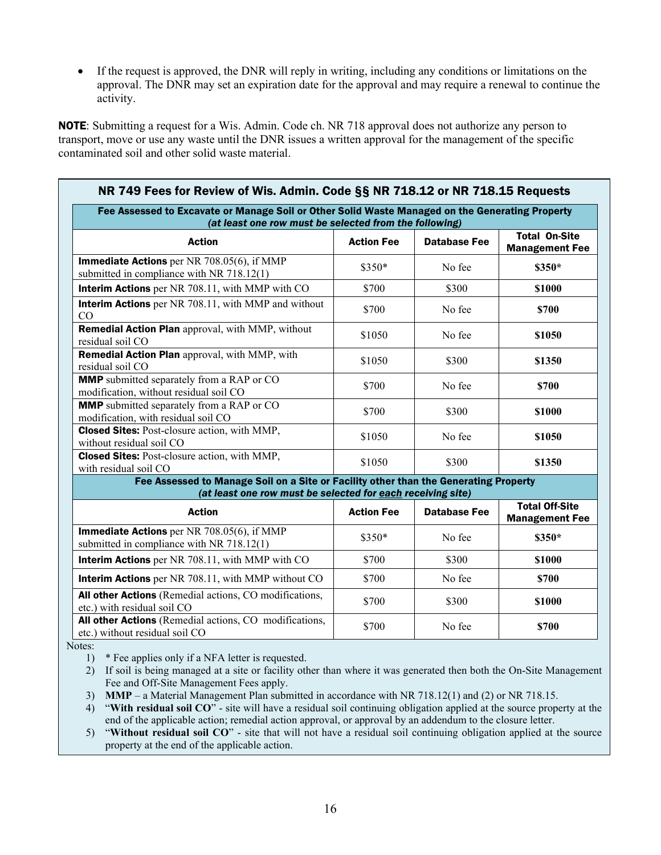• If the request is approved, the DNR will reply in writing, including any conditions or limitations on the approval. The DNR may set an expiration date for the approval and may require a renewal to continue the activity.

NOTE: Submitting a request for a Wis. Admin. Code ch. NR 718 approval does not authorize any person to transport, move or use any waste until the DNR issues a written approval for the management of the specific contaminated soil and other solid waste material.

| NR 749 Fees for Review of Wis. Admin. Code §§ NR 718.12 or NR 718.15 Requests                                                                             |                   |                     |                                                |
|-----------------------------------------------------------------------------------------------------------------------------------------------------------|-------------------|---------------------|------------------------------------------------|
| Fee Assessed to Excavate or Manage Soil or Other Solid Waste Managed on the Generating Property<br>(at least one row must be selected from the following) |                   |                     |                                                |
| <b>Action</b>                                                                                                                                             | <b>Action Fee</b> | <b>Database Fee</b> | <b>Total On-Site</b><br><b>Management Fee</b>  |
| Immediate Actions per NR 708.05(6), if MMP<br>submitted in compliance with NR 718.12(1)                                                                   | \$350*            | No fee              | \$350*                                         |
| Interim Actions per NR 708.11, with MMP with CO                                                                                                           | \$700             | \$300               | \$1000                                         |
| <b>Interim Actions</b> per NR 708.11, with MMP and without<br>CO                                                                                          | \$700             | No fee              | \$700                                          |
| Remedial Action Plan approval, with MMP, without<br>residual soil CO                                                                                      | \$1050            | No fee              | \$1050                                         |
| <b>Remedial Action Plan</b> approval, with MMP, with<br>residual soil CO                                                                                  | \$1050            | \$300               | \$1350                                         |
| <b>MMP</b> submitted separately from a RAP or CO<br>modification, without residual soil CO                                                                | \$700             | No fee              | \$700                                          |
| <b>MMP</b> submitted separately from a RAP or CO<br>modification, with residual soil CO                                                                   | \$700             | \$300               | \$1000                                         |
| <b>Closed Sites:</b> Post-closure action, with MMP,<br>without residual soil CO                                                                           | \$1050            | No fee              | \$1050                                         |
| <b>Closed Sites:</b> Post-closure action, with MMP,<br>with residual soil CO                                                                              | \$1050            | \$300               | \$1350                                         |
| Fee Assessed to Manage Soil on a Site or Facility other than the Generating Property<br>(at least one row must be selected for each receiving site)       |                   |                     |                                                |
| <b>Action</b>                                                                                                                                             | <b>Action Fee</b> | <b>Database Fee</b> | <b>Total Off-Site</b><br><b>Management Fee</b> |
| Immediate Actions per NR 708.05(6), if MMP<br>submitted in compliance with NR 718.12(1)                                                                   | \$350*            | No fee              | \$350*                                         |
| Interim Actions per NR 708.11, with MMP with CO                                                                                                           | \$700             | \$300               | \$1000                                         |
| Interim Actions per NR 708.11, with MMP without CO                                                                                                        | \$700             | No fee              | \$700                                          |
| All other Actions (Remedial actions, CO modifications,<br>etc.) with residual soil CO                                                                     | \$700             | \$300               | \$1000                                         |
| All other Actions (Remedial actions, CO modifications,<br>etc.) without residual soil CO                                                                  | \$700             | No fee              | \$700                                          |

Notes:

1) \* Fee applies only if a NFA letter is requested.

2) If soil is being managed at a site or facility other than where it was generated then both the On-Site Management Fee and Off-Site Management Fees apply.

3) **MMP** – a Material Management Plan submitted in accordance with NR 718.12(1) and (2) or NR 718.15.

4) "**With residual soil CO**" - site will have a residual soil continuing obligation applied at the source property at the end of the applicable action; remedial action approval, or approval by an addendum to the closure letter.

5) "**Without residual soil CO**" - site that will not have a residual soil continuing obligation applied at the source property at the end of the applicable action.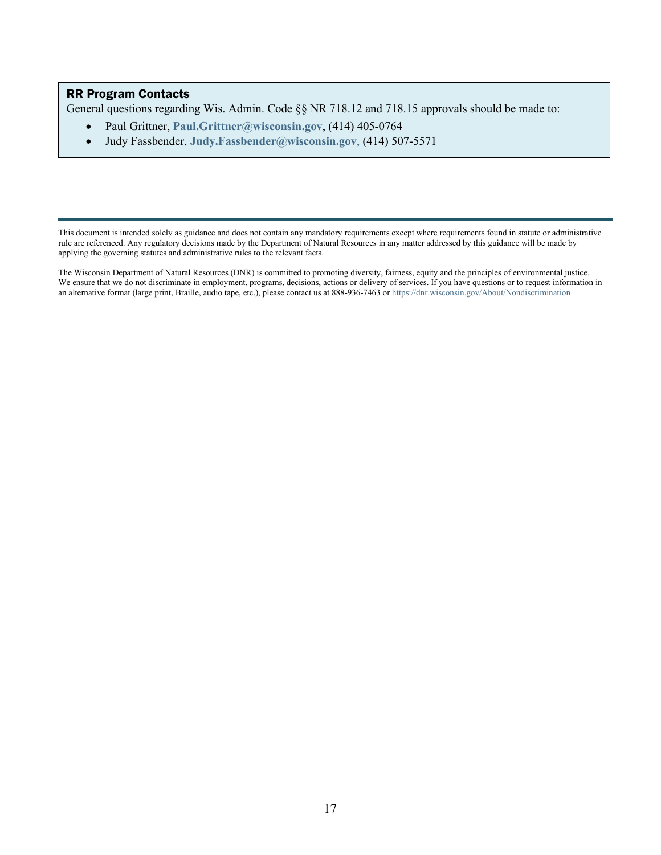#### RR Program Contacts

General questions regarding Wis. Admin. Code §§ NR 718.12 and 718.15 approvals should be made to:

- Paul Grittner, **[Paul.Grittner@wisconsin.gov](mailto:Paul.Grittner@wisconsin.gov)**, (414) 405-0764
- Judy Fassbender, **[Judy.Fassbender@wisconsin.gov](mailto:Judy.Fassbender@wisconsin.gov)**, (414) 507-5571

This document is intended solely as guidance and does not contain any mandatory requirements except where requirements found in statute or administrative rule are referenced. Any regulatory decisions made by the Department of Natural Resources in any matter addressed by this guidance will be made by applying the governing statutes and administrative rules to the relevant facts.

The Wisconsin Department of Natural Resources (DNR) is committed to promoting diversity, fairness, equity and the principles of environmental justice. We ensure that we do not discriminate in employment, programs, decisions, actions or delivery of services. If you have questions or to request information in an alternative format (large print, Braille, audio tape, etc.), please contact us at 888-936-7463 o[r https://dnr.wisconsin.gov/About/Nondiscrimination](https://dnr.wisconsin.gov/About/Nondiscrimination)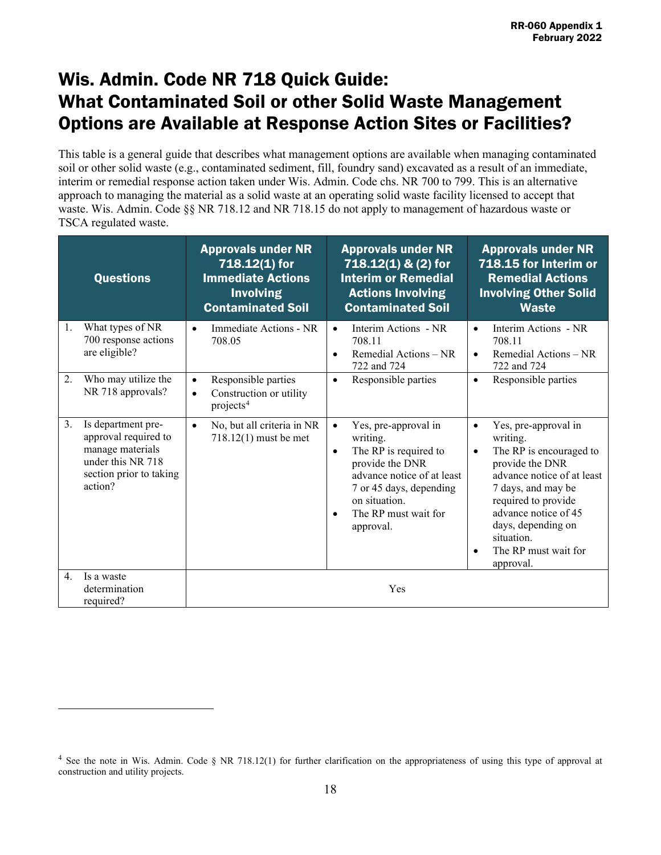# Wis. Admin. Code NR 718 Quick Guide: What Contaminated Soil or other Solid Waste Management Options are Available at Response Action Sites or Facilities?

This table is a general guide that describes what management options are available when managing contaminated soil or other solid waste (e.g., contaminated sediment, fill, foundry sand) excavated as a result of an immediate, interim or remedial response action taken under Wis. Admin. Code chs. NR 700 to 799. This is an alternative approach to managing the material as a solid waste at an operating solid waste facility licensed to accept that waste. Wis. Admin. Code §§ NR 718.12 and NR 718.15 do not apply to management of hazardous waste or TSCA regulated waste.

|    | <b>Questions</b>                                                                                                          | <b>Approvals under NR</b><br>718.12(1) for<br><b>Immediate Actions</b><br><b>Involving</b><br><b>Contaminated Soil</b> | <b>Approvals under NR</b><br>718.12(1) & (2) for<br><b>Interim or Remedial</b><br><b>Actions Involving</b><br><b>Contaminated Soil</b>                                                                                             | <b>Approvals under NR</b><br>718.15 for Interim or<br><b>Remedial Actions</b><br><b>Involving Other Solid</b><br><b>Waste</b>                                                                                                                                                                     |
|----|---------------------------------------------------------------------------------------------------------------------------|------------------------------------------------------------------------------------------------------------------------|------------------------------------------------------------------------------------------------------------------------------------------------------------------------------------------------------------------------------------|---------------------------------------------------------------------------------------------------------------------------------------------------------------------------------------------------------------------------------------------------------------------------------------------------|
| 1. | What types of NR<br>700 response actions<br>are eligible?                                                                 | Immediate Actions - NR<br>$\bullet$<br>708.05                                                                          | Interim Actions - NR<br>$\bullet$<br>708.11<br>Remedial Actions - NR<br>$\bullet$<br>722 and 724                                                                                                                                   | Interim Actions - NR<br>$\bullet$<br>708.11<br>Remedial Actions - NR<br>$\bullet$<br>722 and 724                                                                                                                                                                                                  |
| 2. | Who may utilize the<br>NR 718 approvals?                                                                                  | Responsible parties<br>$\bullet$<br>Construction or utility<br>$\bullet$<br>projects <sup>4</sup>                      | Responsible parties<br>$\bullet$                                                                                                                                                                                                   | Responsible parties<br>$\bullet$                                                                                                                                                                                                                                                                  |
| 3. | Is department pre-<br>approval required to<br>manage materials<br>under this NR 718<br>section prior to taking<br>action? | No, but all criteria in NR<br>$\bullet$<br>$718.12(1)$ must be met                                                     | Yes, pre-approval in<br>$\bullet$<br>writing.<br>The RP is required to<br>$\bullet$<br>provide the DNR<br>advance notice of at least<br>7 or 45 days, depending<br>on situation.<br>The RP must wait for<br>$\bullet$<br>approval. | Yes, pre-approval in<br>$\bullet$<br>writing.<br>The RP is encouraged to<br>$\bullet$<br>provide the DNR<br>advance notice of at least<br>7 days, and may be<br>required to provide<br>advance notice of 45<br>days, depending on<br>situation.<br>The RP must wait for<br>$\bullet$<br>approval. |
| 4. | Is a waste<br>determination<br>required?                                                                                  |                                                                                                                        | Yes                                                                                                                                                                                                                                |                                                                                                                                                                                                                                                                                                   |

<span id="page-17-0"></span><sup>&</sup>lt;sup>4</sup> See the note in Wis. Admin. Code § NR 718.12(1) for further clarification on the appropriateness of using this type of approval at construction and utility projects.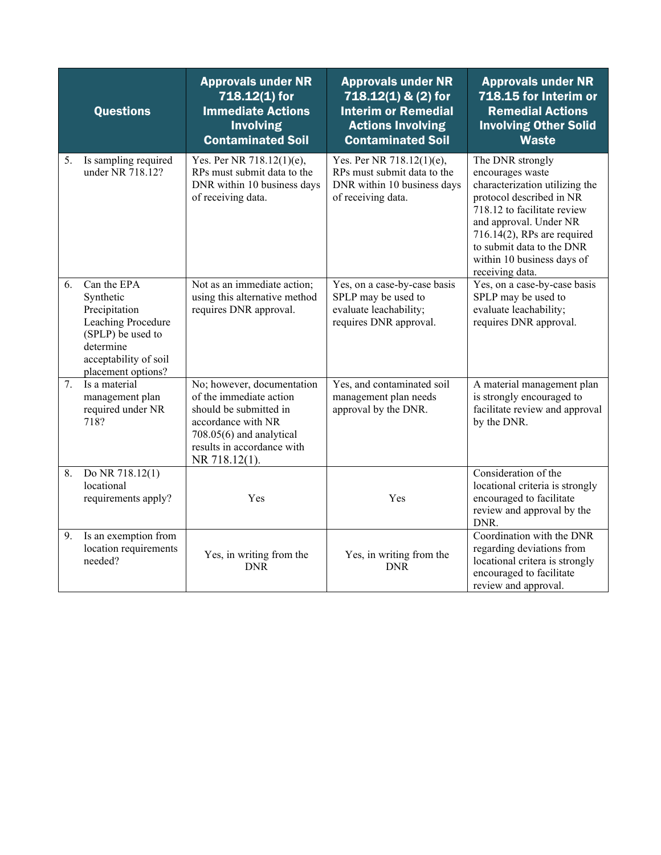|    | <b>Questions</b>                                                                                                                                 | <b>Approvals under NR</b><br>718.12(1) for<br><b>Immediate Actions</b><br><b>Involving</b><br><b>Contaminated Soil</b>                                                           | <b>Approvals under NR</b><br>718.12(1) & (2) for<br><b>Interim or Remedial</b><br><b>Actions Involving</b><br><b>Contaminated Soil</b> | <b>Approvals under NR</b><br>718.15 for Interim or<br><b>Remedial Actions</b><br><b>Involving Other Solid</b><br><b>Waste</b>                                                                                                                                               |
|----|--------------------------------------------------------------------------------------------------------------------------------------------------|----------------------------------------------------------------------------------------------------------------------------------------------------------------------------------|----------------------------------------------------------------------------------------------------------------------------------------|-----------------------------------------------------------------------------------------------------------------------------------------------------------------------------------------------------------------------------------------------------------------------------|
| 5. | Is sampling required<br>under NR 718.12?                                                                                                         | Yes. Per NR 718.12(1)(e),<br>RPs must submit data to the<br>DNR within 10 business days<br>of receiving data.                                                                    | Yes. Per NR 718.12(1)(e),<br>RPs must submit data to the<br>DNR within 10 business days<br>of receiving data.                          | The DNR strongly<br>encourages waste<br>characterization utilizing the<br>protocol described in NR<br>718.12 to facilitate review<br>and approval. Under NR<br>$716.14(2)$ , RPs are required<br>to submit data to the DNR<br>within 10 business days of<br>receiving data. |
| 6. | Can the EPA<br>Synthetic<br>Precipitation<br>Leaching Procedure<br>(SPLP) be used to<br>determine<br>acceptability of soil<br>placement options? | Not as an immediate action;<br>using this alternative method<br>requires DNR approval.                                                                                           | Yes, on a case-by-case basis<br>SPLP may be used to<br>evaluate leachability;<br>requires DNR approval.                                | Yes, on a case-by-case basis<br>SPLP may be used to<br>evaluate leachability;<br>requires DNR approval.                                                                                                                                                                     |
| 7. | Is a material<br>management plan<br>required under NR<br>718?                                                                                    | No; however, documentation<br>of the immediate action<br>should be submitted in<br>accordance with NR<br>708.05(6) and analytical<br>results in accordance with<br>NR 718.12(1). | Yes, and contaminated soil<br>management plan needs<br>approval by the DNR.                                                            | A material management plan<br>is strongly encouraged to<br>facilitate review and approval<br>by the DNR.                                                                                                                                                                    |
| 8. | Do NR 718.12(1)<br>locational<br>requirements apply?                                                                                             | Yes                                                                                                                                                                              | Yes                                                                                                                                    | Consideration of the<br>locational criteria is strongly<br>encouraged to facilitate<br>review and approval by the<br>DNR.                                                                                                                                                   |
| 9. | Is an exemption from<br>location requirements<br>needed?                                                                                         | Yes, in writing from the<br><b>DNR</b>                                                                                                                                           | Yes, in writing from the<br><b>DNR</b>                                                                                                 | Coordination with the DNR<br>regarding deviations from<br>locational critera is strongly<br>encouraged to facilitate<br>review and approval.                                                                                                                                |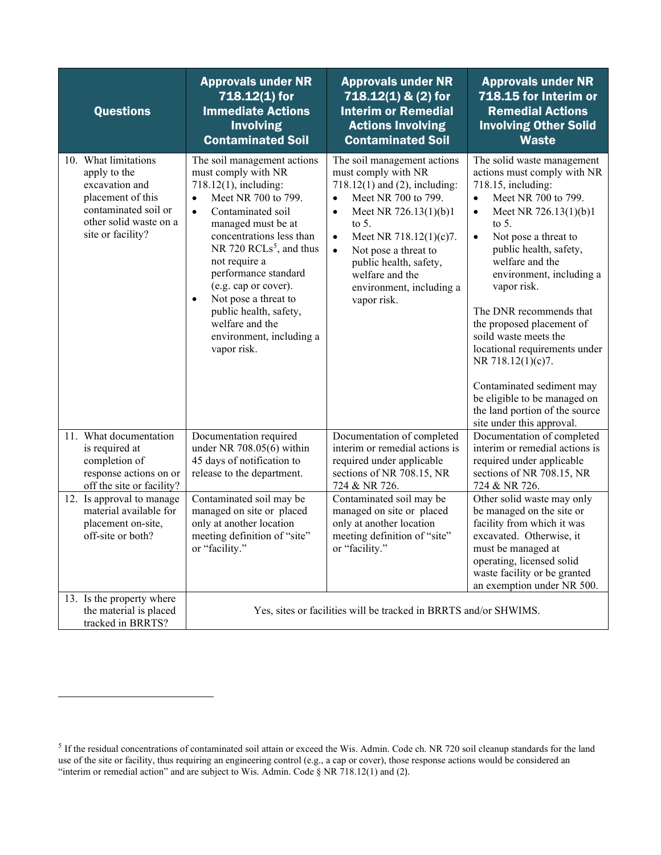| <b>Questions</b>                                                                                                                                   | <b>Approvals under NR</b><br>718.12(1) for<br><b>Immediate Actions</b><br><b>Involving</b><br><b>Contaminated Soil</b>                                                                                                                                                                                                                                                                                                                   | <b>Approvals under NR</b><br>718.12(1) & (2) for<br><b>Interim or Remedial</b><br><b>Actions Involving</b><br><b>Contaminated Soil</b>                                                                                                                                                                                                        | <b>Approvals under NR</b><br>718.15 for Interim or<br><b>Remedial Actions</b><br><b>Involving Other Solid</b><br><b>Waste</b>                                                                                                                                                                                                                                                                                                                                                                                                                                         |
|----------------------------------------------------------------------------------------------------------------------------------------------------|------------------------------------------------------------------------------------------------------------------------------------------------------------------------------------------------------------------------------------------------------------------------------------------------------------------------------------------------------------------------------------------------------------------------------------------|-----------------------------------------------------------------------------------------------------------------------------------------------------------------------------------------------------------------------------------------------------------------------------------------------------------------------------------------------|-----------------------------------------------------------------------------------------------------------------------------------------------------------------------------------------------------------------------------------------------------------------------------------------------------------------------------------------------------------------------------------------------------------------------------------------------------------------------------------------------------------------------------------------------------------------------|
| 10. What limitations<br>apply to the<br>excavation and<br>placement of this<br>contaminated soil or<br>other solid waste on a<br>site or facility? | The soil management actions<br>must comply with NR<br>718.12(1), including:<br>Meet NR 700 to 799.<br>$\bullet$<br>Contaminated soil<br>$\bullet$<br>managed must be at<br>concentrations less than<br>NR 720 RCLs <sup>5</sup> , and thus<br>not require a<br>performance standard<br>(e.g. cap or cover).<br>Not pose a threat to<br>$\bullet$<br>public health, safety,<br>welfare and the<br>environment, including a<br>vapor risk. | The soil management actions<br>must comply with NR<br>718.12(1) and (2), including:<br>Meet NR 700 to 799.<br>$\bullet$<br>Meet NR 726.13(1)(b)1<br>$\bullet$<br>to $5$ .<br>Meet NR 718.12(1)(c)7.<br>$\bullet$<br>Not pose a threat to<br>$\bullet$<br>public health, safety,<br>welfare and the<br>environment, including a<br>vapor risk. | The solid waste management<br>actions must comply with NR<br>718.15, including:<br>Meet NR 700 to 799.<br>$\bullet$<br>Meet NR 726.13(1)(b)1<br>$\bullet$<br>to $5$ .<br>Not pose a threat to<br>$\bullet$<br>public health, safety,<br>welfare and the<br>environment, including a<br>vapor risk.<br>The DNR recommends that<br>the proposed placement of<br>soild waste meets the<br>locational requirements under<br>NR 718.12(1)(c)7.<br>Contaminated sediment may<br>be eligible to be managed on<br>the land portion of the source<br>site under this approval. |
| 11. What documentation<br>is required at<br>completion of<br>response actions on or<br>off the site or facility?                                   | Documentation required<br>under NR 708.05(6) within<br>45 days of notification to<br>release to the department.                                                                                                                                                                                                                                                                                                                          | Documentation of completed<br>interim or remedial actions is<br>required under applicable<br>sections of NR 708.15, NR<br>724 & NR 726.                                                                                                                                                                                                       | Documentation of completed<br>interim or remedial actions is<br>required under applicable<br>sections of NR 708.15, NR<br>724 & NR 726.                                                                                                                                                                                                                                                                                                                                                                                                                               |
| 12. Is approval to manage<br>material available for<br>placement on-site,<br>off-site or both?                                                     | Contaminated soil may be<br>managed on site or placed<br>only at another location<br>meeting definition of "site"<br>or "facility."                                                                                                                                                                                                                                                                                                      | Contaminated soil may be<br>managed on site or placed<br>only at another location<br>meeting definition of "site"<br>or "facility."                                                                                                                                                                                                           | Other solid waste may only<br>be managed on the site or<br>facility from which it was<br>excavated. Otherwise, it<br>must be managed at<br>operating, licensed solid<br>waste facility or be granted<br>an exemption under NR 500.                                                                                                                                                                                                                                                                                                                                    |
| 13. Is the property where<br>the material is placed<br>tracked in BRRTS?                                                                           | Yes, sites or facilities will be tracked in BRRTS and/or SHWIMS.                                                                                                                                                                                                                                                                                                                                                                         |                                                                                                                                                                                                                                                                                                                                               |                                                                                                                                                                                                                                                                                                                                                                                                                                                                                                                                                                       |

<span id="page-19-0"></span> $<sup>5</sup>$  If the residual concentrations of contaminated soil attain or exceed the Wis. Admin. Code ch. NR 720 soil cleanup standards for the land</sup> use of the site or facility, thus requiring an engineering control (e.g., a cap or cover), those response actions would be considered an "interim or remedial action" and are subject to Wis. Admin. Code  $\S$  NR 718.12(1) and (2).